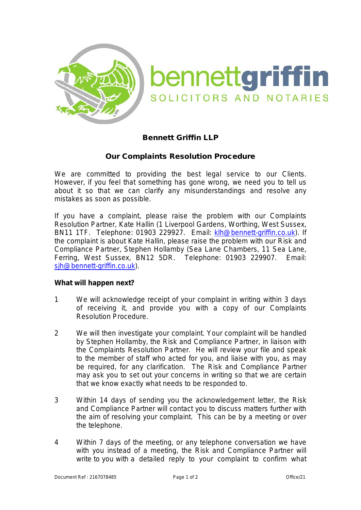

## Bennett Griffin LLP

## Our Complaints Resolution Procedure

We are committed to providing the best legal service to our Clients. However, if you feel that something has gone wrong, we need you to tell us about it so that we can clarify any misunderstandings and resolve any mistakes as soon as possible.

If you have a complaint, please raise the problem with our Complaints Resolution Partner, Kate Hallin (1 Liverpool Gardens, Worthing, West Sussex, BN11 1TF. Telephone: 01903 229927. Email: [klh@bennett-griffin.co.uk\)](mailto:klh@bennett-griffin.co.uk). If the complaint is about Kate Hallin, please raise the problem with our Risk and Compliance Partner, Stephen Hollamby (Sea Lane Chambers, 11 Sea Lane, Ferring, West Sussex, BN12 5DR. Telephone: 01903 229907. Email: [sjh@bennett-griffin.co.uk\)](mailto:sjh@bennett-griffin.co.uk).

## **What will happen next?**

- 1 We will acknowledge receipt of your complaint in writing within 3 days of receiving it, and provide you with a copy of our Complaints Resolution Procedure.
- 2 We will then investigate your complaint. Your complaint will be handled by Stephen Hollamby, the Risk and Compliance Partner, in liaison with the Complaints Resolution Partner. He will review your file and speak to the member of staff who acted for you, and liaise with you, as may be required, for any clarification. The Risk and Compliance Partner may ask you to set out your concerns in writing so that we are certain that we know exactly what needs to be responded to.
- 3 Within 14 days of sending you the acknowledgement letter, the Risk and Compliance Partner will contact you to discuss matters further with the aim of resolving your complaint. This can be by a meeting or over the telephone.
- 4 Within 7 days of the meeting, or any telephone conversation we have with you instead of a meeting, the Risk and Compliance Partner will write to you with a detailed reply to your complaint to confirm what